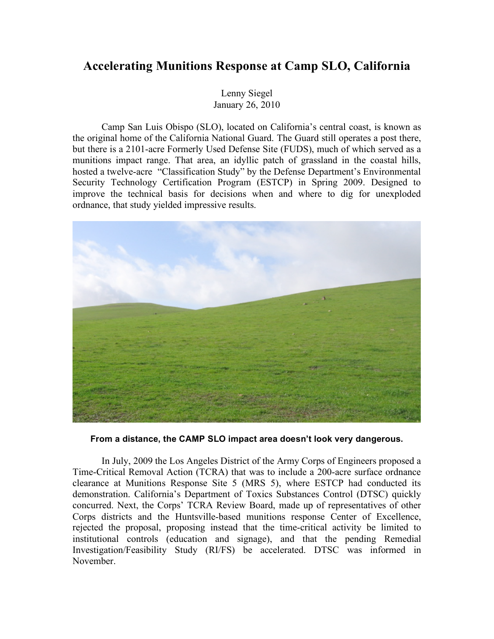## **Accelerating Munitions Response at Camp SLO, California**

Lenny Siegel January 26, 2010

Camp San Luis Obispo (SLO), located on California's central coast, is known as the original home of the California National Guard. The Guard still operates a post there, but there is a 2101-acre Formerly Used Defense Site (FUDS), much of which served as a munitions impact range. That area, an idyllic patch of grassland in the coastal hills, hosted a twelve-acre "Classification Study" by the Defense Department's Environmental Security Technology Certification Program (ESTCP) in Spring 2009. Designed to improve the technical basis for decisions when and where to dig for unexploded ordnance, that study yielded impressive results.



**From a distance, the CAMP SLO impact area doesn't look very dangerous.**

In July, 2009 the Los Angeles District of the Army Corps of Engineers proposed a Time-Critical Removal Action (TCRA) that was to include a 200-acre surface ordnance clearance at Munitions Response Site 5 (MRS 5), where ESTCP had conducted its demonstration. California's Department of Toxics Substances Control (DTSC) quickly concurred. Next, the Corps' TCRA Review Board, made up of representatives of other Corps districts and the Huntsville-based munitions response Center of Excellence, rejected the proposal, proposing instead that the time-critical activity be limited to institutional controls (education and signage), and that the pending Remedial Investigation/Feasibility Study (RI/FS) be accelerated. DTSC was informed in November.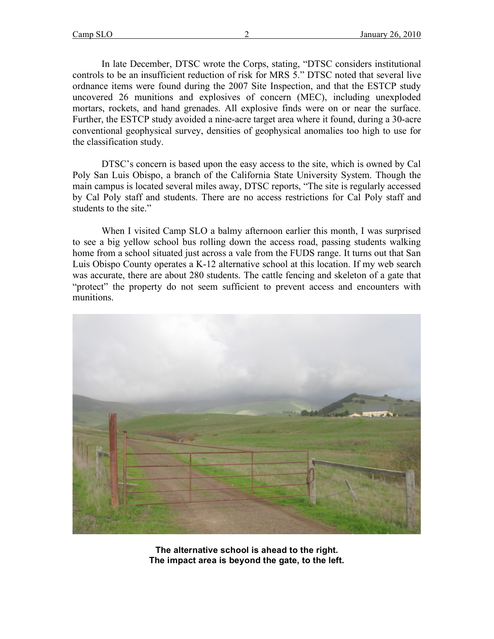In late December, DTSC wrote the Corps, stating, "DTSC considers institutional controls to be an insufficient reduction of risk for MRS 5." DTSC noted that several live ordnance items were found during the 2007 Site Inspection, and that the ESTCP study uncovered 26 munitions and explosives of concern (MEC), including unexploded mortars, rockets, and hand grenades. All explosive finds were on or near the surface. Further, the ESTCP study avoided a nine-acre target area where it found, during a 30-acre conventional geophysical survey, densities of geophysical anomalies too high to use for the classification study.

DTSC's concern is based upon the easy access to the site, which is owned by Cal Poly San Luis Obispo, a branch of the California State University System. Though the main campus is located several miles away, DTSC reports, "The site is regularly accessed by Cal Poly staff and students. There are no access restrictions for Cal Poly staff and students to the site."

When I visited Camp SLO a balmy afternoon earlier this month, I was surprised to see a big yellow school bus rolling down the access road, passing students walking home from a school situated just across a vale from the FUDS range. It turns out that San Luis Obispo County operates a K-12 alternative school at this location. If my web search was accurate, there are about 280 students. The cattle fencing and skeleton of a gate that "protect" the property do not seem sufficient to prevent access and encounters with munitions.



**The alternative school is ahead to the right. The impact area is beyond the gate, to the left.**